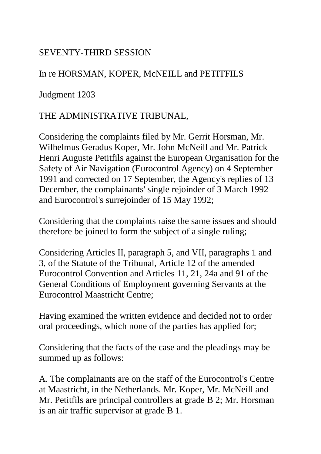## SEVENTY-THIRD SESSION

## In re HORSMAN, KOPER, McNEILL and PETITFILS

Judgment 1203

## THE ADMINISTRATIVE TRIBUNAL,

Considering the complaints filed by Mr. Gerrit Horsman, Mr. Wilhelmus Geradus Koper, Mr. John McNeill and Mr. Patrick Henri Auguste Petitfils against the European Organisation for the Safety of Air Navigation (Eurocontrol Agency) on 4 September 1991 and corrected on 17 September, the Agency's replies of 13 December, the complainants' single rejoinder of 3 March 1992 and Eurocontrol's surrejoinder of 15 May 1992;

Considering that the complaints raise the same issues and should therefore be joined to form the subject of a single ruling;

Considering Articles II, paragraph 5, and VII, paragraphs 1 and 3, of the Statute of the Tribunal, Article 12 of the amended Eurocontrol Convention and Articles 11, 21, 24a and 91 of the General Conditions of Employment governing Servants at the Eurocontrol Maastricht Centre;

Having examined the written evidence and decided not to order oral proceedings, which none of the parties has applied for;

Considering that the facts of the case and the pleadings may be summed up as follows:

A. The complainants are on the staff of the Eurocontrol's Centre at Maastricht, in the Netherlands. Mr. Koper, Mr. McNeill and Mr. Petitfils are principal controllers at grade B 2; Mr. Horsman is an air traffic supervisor at grade B 1.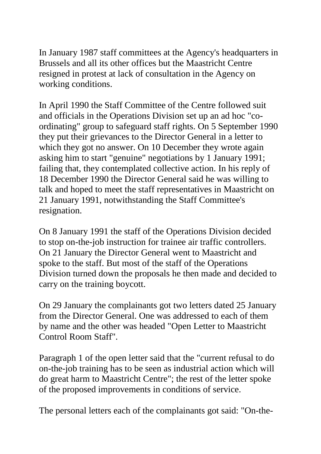In January 1987 staff committees at the Agency's headquarters in Brussels and all its other offices but the Maastricht Centre resigned in protest at lack of consultation in the Agency on working conditions.

In April 1990 the Staff Committee of the Centre followed suit and officials in the Operations Division set up an ad hoc "coordinating" group to safeguard staff rights. On 5 September 1990 they put their grievances to the Director General in a letter to which they got no answer. On 10 December they wrote again asking him to start "genuine" negotiations by 1 January 1991; failing that, they contemplated collective action. In his reply of 18 December 1990 the Director General said he was willing to talk and hoped to meet the staff representatives in Maastricht on 21 January 1991, notwithstanding the Staff Committee's resignation.

On 8 January 1991 the staff of the Operations Division decided to stop on-the-job instruction for trainee air traffic controllers. On 21 January the Director General went to Maastricht and spoke to the staff. But most of the staff of the Operations Division turned down the proposals he then made and decided to carry on the training boycott.

On 29 January the complainants got two letters dated 25 January from the Director General. One was addressed to each of them by name and the other was headed "Open Letter to Maastricht Control Room Staff".

Paragraph 1 of the open letter said that the "current refusal to do on-the-job training has to be seen as industrial action which will do great harm to Maastricht Centre"; the rest of the letter spoke of the proposed improvements in conditions of service.

The personal letters each of the complainants got said: "On-the-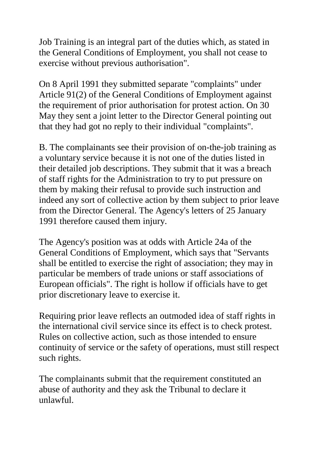Job Training is an integral part of the duties which, as stated in the General Conditions of Employment, you shall not cease to exercise without previous authorisation".

On 8 April 1991 they submitted separate "complaints" under Article 91(2) of the General Conditions of Employment against the requirement of prior authorisation for protest action. On 30 May they sent a joint letter to the Director General pointing out that they had got no reply to their individual "complaints".

B. The complainants see their provision of on-the-job training as a voluntary service because it is not one of the duties listed in their detailed job descriptions. They submit that it was a breach of staff rights for the Administration to try to put pressure on them by making their refusal to provide such instruction and indeed any sort of collective action by them subject to prior leave from the Director General. The Agency's letters of 25 January 1991 therefore caused them injury.

The Agency's position was at odds with Article 24a of the General Conditions of Employment, which says that "Servants shall be entitled to exercise the right of association; they may in particular be members of trade unions or staff associations of European officials". The right is hollow if officials have to get prior discretionary leave to exercise it.

Requiring prior leave reflects an outmoded idea of staff rights in the international civil service since its effect is to check protest. Rules on collective action, such as those intended to ensure continuity of service or the safety of operations, must still respect such rights.

The complainants submit that the requirement constituted an abuse of authority and they ask the Tribunal to declare it unlawful.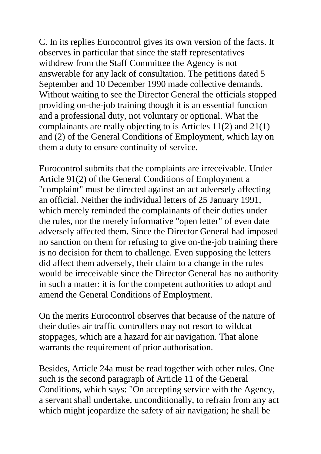C. In its replies Eurocontrol gives its own version of the facts. It observes in particular that since the staff representatives withdrew from the Staff Committee the Agency is not answerable for any lack of consultation. The petitions dated 5 September and 10 December 1990 made collective demands. Without waiting to see the Director General the officials stopped providing on-the-job training though it is an essential function and a professional duty, not voluntary or optional. What the complainants are really objecting to is Articles 11(2) and 21(1) and (2) of the General Conditions of Employment, which lay on them a duty to ensure continuity of service.

Eurocontrol submits that the complaints are irreceivable. Under Article 91(2) of the General Conditions of Employment a "complaint" must be directed against an act adversely affecting an official. Neither the individual letters of 25 January 1991, which merely reminded the complainants of their duties under the rules, nor the merely informative "open letter" of even date adversely affected them. Since the Director General had imposed no sanction on them for refusing to give on-the-job training there is no decision for them to challenge. Even supposing the letters did affect them adversely, their claim to a change in the rules would be irreceivable since the Director General has no authority in such a matter: it is for the competent authorities to adopt and amend the General Conditions of Employment.

On the merits Eurocontrol observes that because of the nature of their duties air traffic controllers may not resort to wildcat stoppages, which are a hazard for air navigation. That alone warrants the requirement of prior authorisation.

Besides, Article 24a must be read together with other rules. One such is the second paragraph of Article 11 of the General Conditions, which says: "On accepting service with the Agency, a servant shall undertake, unconditionally, to refrain from any act which might jeopardize the safety of air navigation; he shall be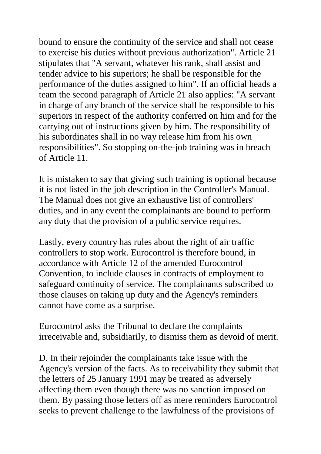bound to ensure the continuity of the service and shall not cease to exercise his duties without previous authorization". Article 21 stipulates that "A servant, whatever his rank, shall assist and tender advice to his superiors; he shall be responsible for the performance of the duties assigned to him". If an official heads a team the second paragraph of Article 21 also applies: "A servant in charge of any branch of the service shall be responsible to his superiors in respect of the authority conferred on him and for the carrying out of instructions given by him. The responsibility of his subordinates shall in no way release him from his own responsibilities". So stopping on-the-job training was in breach of Article 11.

It is mistaken to say that giving such training is optional because it is not listed in the job description in the Controller's Manual. The Manual does not give an exhaustive list of controllers' duties, and in any event the complainants are bound to perform any duty that the provision of a public service requires.

Lastly, every country has rules about the right of air traffic controllers to stop work. Eurocontrol is therefore bound, in accordance with Article 12 of the amended Eurocontrol Convention, to include clauses in contracts of employment to safeguard continuity of service. The complainants subscribed to those clauses on taking up duty and the Agency's reminders cannot have come as a surprise.

Eurocontrol asks the Tribunal to declare the complaints irreceivable and, subsidiarily, to dismiss them as devoid of merit.

D. In their rejoinder the complainants take issue with the Agency's version of the facts. As to receivability they submit that the letters of 25 January 1991 may be treated as adversely affecting them even though there was no sanction imposed on them. By passing those letters off as mere reminders Eurocontrol seeks to prevent challenge to the lawfulness of the provisions of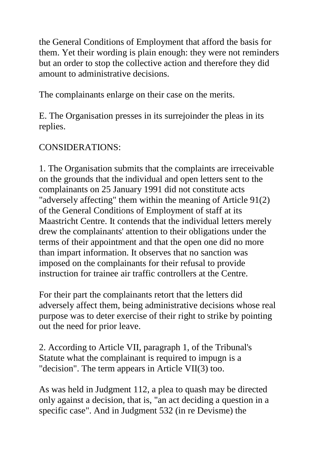the General Conditions of Employment that afford the basis for them. Yet their wording is plain enough: they were not reminders but an order to stop the collective action and therefore they did amount to administrative decisions.

The complainants enlarge on their case on the merits.

E. The Organisation presses in its surrejoinder the pleas in its replies.

## CONSIDERATIONS:

1. The Organisation submits that the complaints are irreceivable on the grounds that the individual and open letters sent to the complainants on 25 January 1991 did not constitute acts "adversely affecting" them within the meaning of Article 91(2) of the General Conditions of Employment of staff at its Maastricht Centre. It contends that the individual letters merely drew the complainants' attention to their obligations under the terms of their appointment and that the open one did no more than impart information. It observes that no sanction was imposed on the complainants for their refusal to provide instruction for trainee air traffic controllers at the Centre.

For their part the complainants retort that the letters did adversely affect them, being administrative decisions whose real purpose was to deter exercise of their right to strike by pointing out the need for prior leave.

2. According to Article VII, paragraph 1, of the Tribunal's Statute what the complainant is required to impugn is a "decision". The term appears in Article VII(3) too.

As was held in Judgment 112, a plea to quash may be directed only against a decision, that is, "an act deciding a question in a specific case". And in Judgment 532 (in re Devisme) the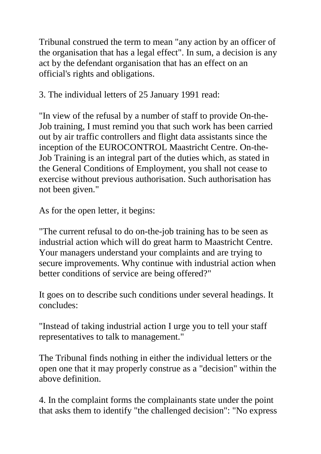Tribunal construed the term to mean "any action by an officer of the organisation that has a legal effect". In sum, a decision is any act by the defendant organisation that has an effect on an official's rights and obligations.

3. The individual letters of 25 January 1991 read:

"In view of the refusal by a number of staff to provide On-the-Job training, I must remind you that such work has been carried out by air traffic controllers and flight data assistants since the inception of the EUROCONTROL Maastricht Centre. On-the-Job Training is an integral part of the duties which, as stated in the General Conditions of Employment, you shall not cease to exercise without previous authorisation. Such authorisation has not been given."

As for the open letter, it begins:

"The current refusal to do on-the-job training has to be seen as industrial action which will do great harm to Maastricht Centre. Your managers understand your complaints and are trying to secure improvements. Why continue with industrial action when better conditions of service are being offered?"

It goes on to describe such conditions under several headings. It concludes:

"Instead of taking industrial action I urge you to tell your staff representatives to talk to management."

The Tribunal finds nothing in either the individual letters or the open one that it may properly construe as a "decision" within the above definition.

4. In the complaint forms the complainants state under the point that asks them to identify "the challenged decision": "No express